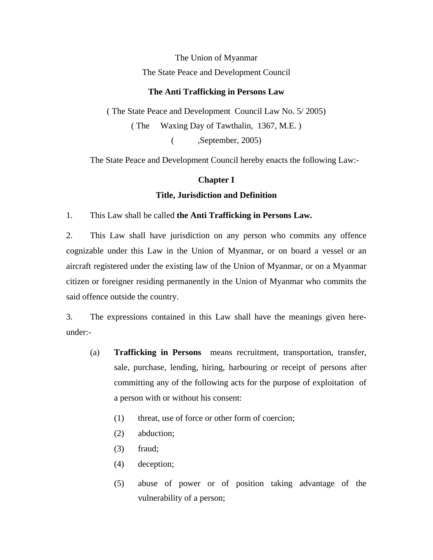The Union of Myanmar The State Peace and Development Council

### **The Anti Trafficking in Persons Law**

( The State Peace and Development Council Law No. 5/ 2005) ( The Waxing Day of Tawthalin, 1367, M.E. ) ( ,September, 2005)

The State Peace and Development Council hereby enacts the following Law:-

### **Chapter I**

### **Title, Jurisdiction and Definition**

1. This Law shall be called **the Anti Trafficking in Persons Law.**

2. This Law shall have jurisdiction on any person who commits any offence cognizable under this Law in the Union of Myanmar, or on board a vessel or an aircraft registered under the existing law of the Union of Myanmar, or on a Myanmar citizen or foreigner residing permanently in the Union of Myanmar who commits the said offence outside the country.

3. The expressions contained in this Law shall have the meanings given hereunder:-

- (a) **Trafficking in Persons** means recruitment, transportation, transfer, sale, purchase, lending, hiring, harbouring or receipt of persons after committing any of the following acts for the purpose of exploitation of a person with or without his consent:
	- (1) threat, use of force or other form of coercion;
	- (2) abduction;
	- (3) fraud;
	- (4) deception;
	- (5) abuse of power or of position taking advantage of the vulnerability of a person;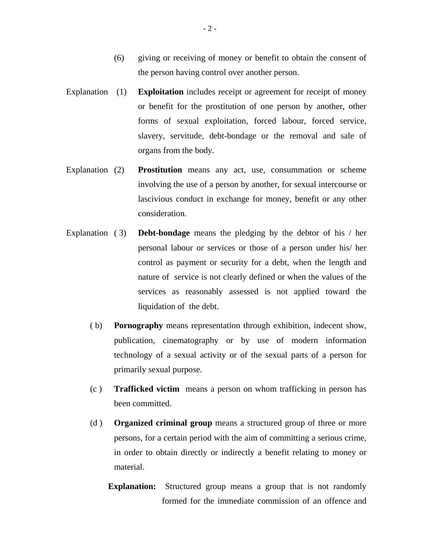- (6) giving or receiving of money or benefit to obtain the consent of the person having control over another person.
- Explanation **(1)** Exploitation includes receipt or agreement for receipt of money or benefit for the prostitution of one person by another, other forms of sexual exploitation, forced labour, forced service, slavery, servitude, debt-bondage or the removal and sale of organs from the body.
- Explanation (2) **Prostitution** means any act, use, consummation or scheme involving the use of a person by another, for sexual intercourse or lascivious conduct in exchange for money, benefit or any other consideration.
- Explanation ( 3) **Debt-bondage** means the pledging by the debtor of his / her personal labour or services or those of a person under his/ her control as payment or security for a debt, when the length and nature of service is not clearly defined or when the values of the services as reasonably assessed is not applied toward the liquidation of the debt.
	- ( b) **Pornography** means representation through exhibition, indecent show, publication, cinematography or by use of modern information technology of a sexual activity or of the sexual parts of a person for primarily sexual purpose.
	- (c ) **Trafficked victim** means a person on whom trafficking in person has been committed.
	- (d ) **Organized criminal group** means a structured group of three or more persons, for a certain period with the aim of committing a serious crime, in order to obtain directly or indirectly a benefit relating to money or material.
		- **Explanation:** Structured group means a group that is not randomly formed for the immediate commission of an offence and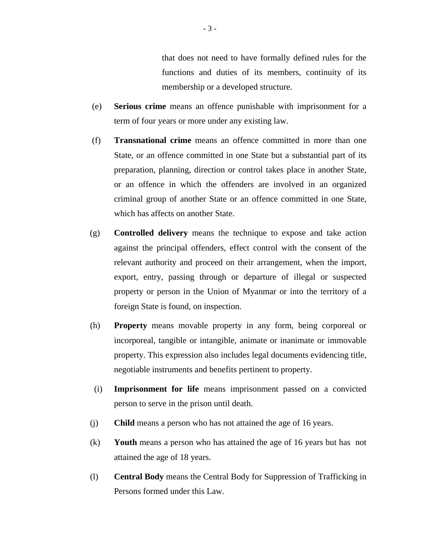that does not need to have formally defined rules for the functions and duties of its members, continuity of its membership or a developed structure.

- (e) **Serious crime** means an offence punishable with imprisonment for a term of four years or more under any existing law.
- (f) **Transnational crime** means an offence committed in more than one State, or an offence committed in one State but a substantial part of its preparation, planning, direction or control takes place in another State, or an offence in which the offenders are involved in an organized criminal group of another State or an offence committed in one State, which has affects on another State.
- (g) **Controlled delivery** means the technique to expose and take action against the principal offenders, effect control with the consent of the relevant authority and proceed on their arrangement, when the import, export, entry, passing through or departure of illegal or suspected property or person in the Union of Myanmar or into the territory of a foreign State is found, on inspection.
- (h) **Property** means movable property in any form, being corporeal or incorporeal, tangible or intangible, animate or inanimate or immovable property. This expression also includes legal documents evidencing title, negotiable instruments and benefits pertinent to property.
- (i) **Imprisonment for life** means imprisonment passed on a convicted person to serve in the prison until death.
- (j) **Child** means a person who has not attained the age of 16 years.
- (k) **Youth** means a person who has attained the age of 16 years but has not attained the age of 18 years.
- (l) **Central Body** means the Central Body for Suppression of Trafficking in Persons formed under this Law.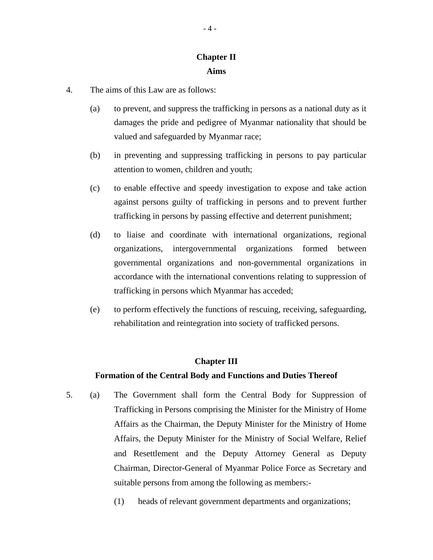# **Chapter II Aims**

- 4. The aims of this Law are as follows:
	- (a) to prevent, and suppress the trafficking in persons as a national duty as it damages the pride and pedigree of Myanmar nationality that should be valued and safeguarded by Myanmar race;
	- (b) in preventing and suppressing trafficking in persons to pay particular attention to women, children and youth;
	- (c) to enable effective and speedy investigation to expose and take action against persons guilty of trafficking in persons and to prevent further trafficking in persons by passing effective and deterrent punishment;
	- (d) to liaise and coordinate with international organizations, regional organizations, intergovernmental organizations formed between governmental organizations and non-governmental organizations in accordance with the international conventions relating to suppression of trafficking in persons which Myanmar has acceded;
	- (e) to perform effectively the functions of rescuing, receiving, safeguarding, rehabilitation and reintegration into society of trafficked persons.

## **Chapter III**

### **Formation of the Central Body and Functions and Duties Thereof**

- 5. (a) The Government shall form the Central Body for Suppression of Trafficking in Persons comprising the Minister for the Ministry of Home Affairs as the Chairman, the Deputy Minister for the Ministry of Home Affairs, the Deputy Minister for the Ministry of Social Welfare, Relief and Resettlement and the Deputy Attorney General as Deputy Chairman, Director-General of Myanmar Police Force as Secretary and suitable persons from among the following as members:-
	- (1) heads of relevant government departments and organizations;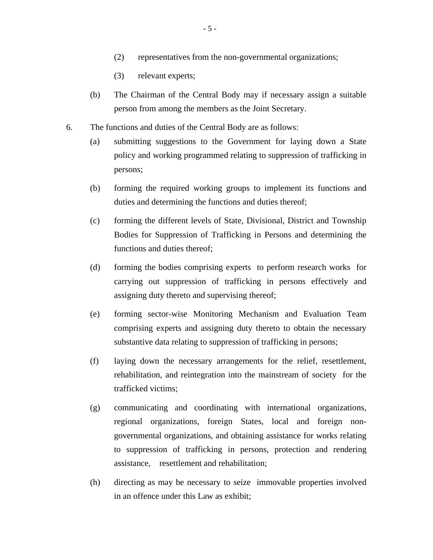- (2) representatives from the non-governmental organizations;
- (3) relevant experts;
- (b) The Chairman of the Central Body may if necessary assign a suitable person from among the members as the Joint Secretary.
- 6. The functions and duties of the Central Body are as follows:
	- (a) submitting suggestions to the Government for laying down a State policy and working programmed relating to suppression of trafficking in persons;
	- (b) forming the required working groups to implement its functions and duties and determining the functions and duties thereof;
	- (c) forming the different levels of State, Divisional, District and Township Bodies for Suppression of Trafficking in Persons and determining the functions and duties thereof;
	- (d) forming the bodies comprising experts to perform research works for carrying out suppression of trafficking in persons effectively and assigning duty thereto and supervising thereof;
	- (e) forming sector-wise Monitoring Mechanism and Evaluation Team comprising experts and assigning duty thereto to obtain the necessary substantive data relating to suppression of trafficking in persons;
	- (f) laying down the necessary arrangements for the relief, resettlement, rehabilitation, and reintegration into the mainstream of society for the trafficked victims;
	- (g) communicating and coordinating with international organizations, regional organizations, foreign States, local and foreign nongovernmental organizations, and obtaining assistance for works relating to suppression of trafficking in persons, protection and rendering assistance, resettlement and rehabilitation;
	- (h) directing as may be necessary to seize immovable properties involved in an offence under this Law as exhibit;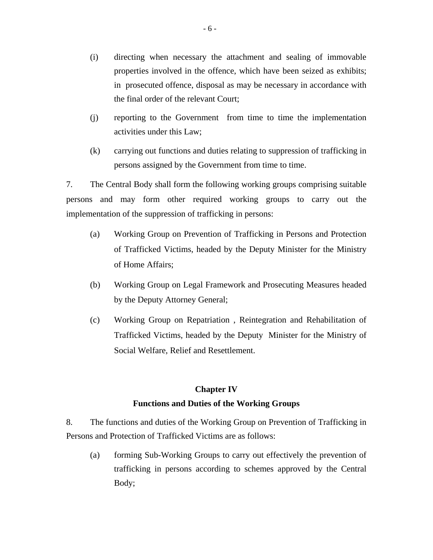- (i) directing when necessary the attachment and sealing of immovable properties involved in the offence, which have been seized as exhibits; in prosecuted offence, disposal as may be necessary in accordance with the final order of the relevant Court;
- (j) reporting to the Government from time to time the implementation activities under this Law;
- (k) carrying out functions and duties relating to suppression of trafficking in persons assigned by the Government from time to time.

7. The Central Body shall form the following working groups comprising suitable persons and may form other required working groups to carry out the implementation of the suppression of trafficking in persons:

- (a) Working Group on Prevention of Trafficking in Persons and Protection of Trafficked Victims, headed by the Deputy Minister for the Ministry of Home Affairs;
- (b) Working Group on Legal Framework and Prosecuting Measures headed by the Deputy Attorney General;
- (c) Working Group on Repatriation , Reintegration and Rehabilitation of Trafficked Victims, headed by the Deputy Minister for the Ministry of Social Welfare, Relief and Resettlement.

## **Chapter IV**

## **Functions and Duties of the Working Groups**

8. The functions and duties of the Working Group on Prevention of Trafficking in Persons and Protection of Trafficked Victims are as follows:

(a) forming Sub-Working Groups to carry out effectively the prevention of trafficking in persons according to schemes approved by the Central Body;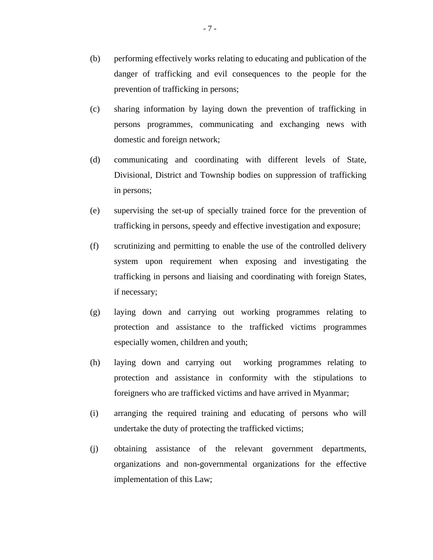- (b) performing effectively works relating to educating and publication of the danger of trafficking and evil consequences to the people for the prevention of trafficking in persons;
- (c) sharing information by laying down the prevention of trafficking in persons programmes, communicating and exchanging news with domestic and foreign network;
- (d) communicating and coordinating with different levels of State, Divisional, District and Township bodies on suppression of trafficking in persons;
- (e) supervising the set-up of specially trained force for the prevention of trafficking in persons, speedy and effective investigation and exposure;
- (f) scrutinizing and permitting to enable the use of the controlled delivery system upon requirement when exposing and investigating the trafficking in persons and liaising and coordinating with foreign States, if necessary;
- (g) laying down and carrying out working programmes relating to protection and assistance to the trafficked victims programmes especially women, children and youth;
- (h) laying down and carrying out working programmes relating to protection and assistance in conformity with the stipulations to foreigners who are trafficked victims and have arrived in Myanmar;
- (i) arranging the required training and educating of persons who will undertake the duty of protecting the trafficked victims;
- (j) obtaining assistance of the relevant government departments, organizations and non-governmental organizations for the effective implementation of this Law;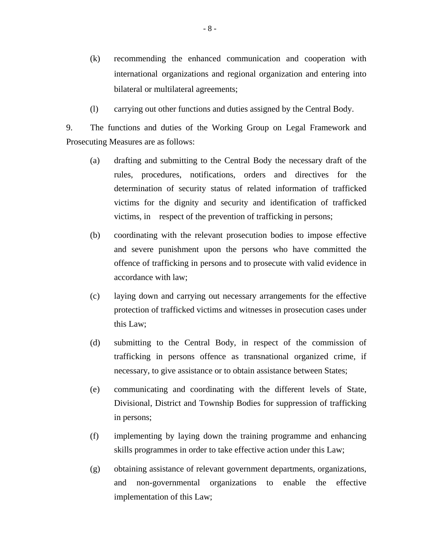- (k) recommending the enhanced communication and cooperation with international organizations and regional organization and entering into bilateral or multilateral agreements;
- (l) carrying out other functions and duties assigned by the Central Body.

9. The functions and duties of the Working Group on Legal Framework and Prosecuting Measures are as follows:

- (a) drafting and submitting to the Central Body the necessary draft of the rules, procedures, notifications, orders and directives for the determination of security status of related information of trafficked victims for the dignity and security and identification of trafficked victims, in respect of the prevention of trafficking in persons;
- (b) coordinating with the relevant prosecution bodies to impose effective and severe punishment upon the persons who have committed the offence of trafficking in persons and to prosecute with valid evidence in accordance with law;
- (c) laying down and carrying out necessary arrangements for the effective protection of trafficked victims and witnesses in prosecution cases under this Law;
- (d) submitting to the Central Body, in respect of the commission of trafficking in persons offence as transnational organized crime, if necessary, to give assistance or to obtain assistance between States;
- (e) communicating and coordinating with the different levels of State, Divisional, District and Township Bodies for suppression of trafficking in persons;
- (f) implementing by laying down the training programme and enhancing skills programmes in order to take effective action under this Law;
- (g) obtaining assistance of relevant government departments, organizations, and non-governmental organizations to enable the effective implementation of this Law;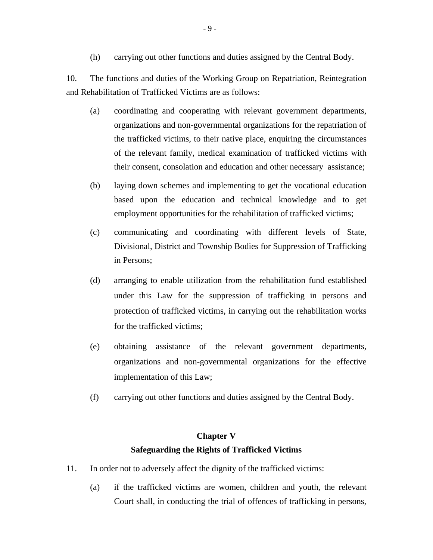(h) carrying out other functions and duties assigned by the Central Body.

10. The functions and duties of the Working Group on Repatriation, Reintegration and Rehabilitation of Trafficked Victims are as follows:

- (a) coordinating and cooperating with relevant government departments, organizations and non-governmental organizations for the repatriation of the trafficked victims, to their native place, enquiring the circumstances of the relevant family, medical examination of trafficked victims with their consent, consolation and education and other necessary assistance;
- (b) laying down schemes and implementing to get the vocational education based upon the education and technical knowledge and to get employment opportunities for the rehabilitation of trafficked victims;
- (c) communicating and coordinating with different levels of State, Divisional, District and Township Bodies for Suppression of Trafficking in Persons;
- (d) arranging to enable utilization from the rehabilitation fund established under this Law for the suppression of trafficking in persons and protection of trafficked victims, in carrying out the rehabilitation works for the trafficked victims;
- (e) obtaining assistance of the relevant government departments, organizations and non-governmental organizations for the effective implementation of this Law;
- (f) carrying out other functions and duties assigned by the Central Body.

# **Chapter V Safeguarding the Rights of Trafficked Victims**

- 11. In order not to adversely affect the dignity of the trafficked victims:
	- (a) if the trafficked victims are women, children and youth, the relevant Court shall, in conducting the trial of offences of trafficking in persons,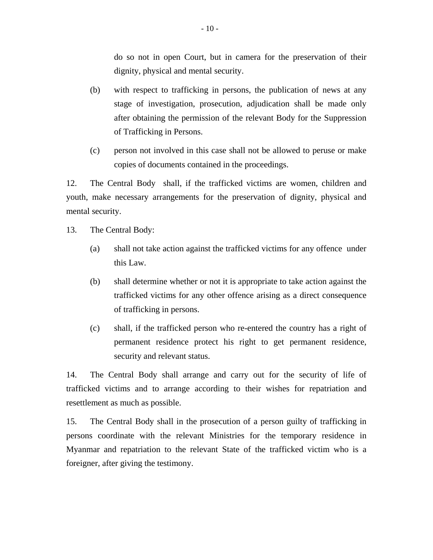do so not in open Court, but in camera for the preservation of their dignity, physical and mental security.

- (b) with respect to trafficking in persons, the publication of news at any stage of investigation, prosecution, adjudication shall be made only after obtaining the permission of the relevant Body for the Suppression of Trafficking in Persons.
- (c) person not involved in this case shall not be allowed to peruse or make copies of documents contained in the proceedings.

12. The Central Body shall, if the trafficked victims are women, children and youth, make necessary arrangements for the preservation of dignity, physical and mental security.

- 13. The Central Body:
	- (a) shall not take action against the trafficked victims for any offence under this Law.
	- (b) shall determine whether or not it is appropriate to take action against the trafficked victims for any other offence arising as a direct consequence of trafficking in persons.
	- (c) shall, if the trafficked person who re-entered the country has a right of permanent residence protect his right to get permanent residence, security and relevant status.

14. The Central Body shall arrange and carry out for the security of life of trafficked victims and to arrange according to their wishes for repatriation and resettlement as much as possible.

15. The Central Body shall in the prosecution of a person guilty of trafficking in persons coordinate with the relevant Ministries for the temporary residence in Myanmar and repatriation to the relevant State of the trafficked victim who is a foreigner, after giving the testimony.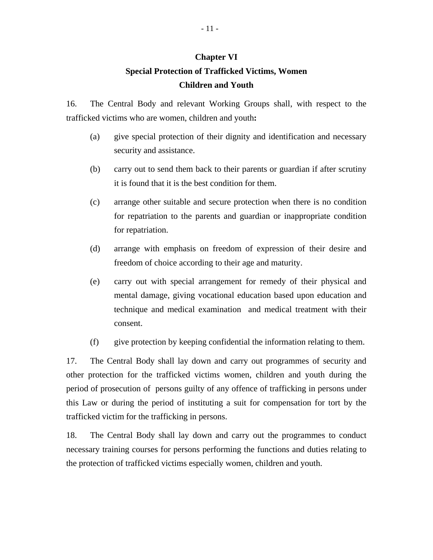### **Chapter VI**

# **Special Protection of Trafficked Victims, Women Children and Youth**

16. The Central Body and relevant Working Groups shall, with respect to the trafficked victims who are women, children and youth**:** 

- (a) give special protection of their dignity and identification and necessary security and assistance.
- (b) carry out to send them back to their parents or guardian if after scrutiny it is found that it is the best condition for them.
- (c) arrange other suitable and secure protection when there is no condition for repatriation to the parents and guardian or inappropriate condition for repatriation.
- (d) arrange with emphasis on freedom of expression of their desire and freedom of choice according to their age and maturity.
- (e) carry out with special arrangement for remedy of their physical and mental damage, giving vocational education based upon education and technique and medical examination and medical treatment with their consent.
- (f) give protection by keeping confidential the information relating to them.

17. The Central Body shall lay down and carry out programmes of security and other protection for the trafficked victims women, children and youth during the period of prosecution of persons guilty of any offence of trafficking in persons under this Law or during the period of instituting a suit for compensation for tort by the trafficked victim for the trafficking in persons.

18. The Central Body shall lay down and carry out the programmes to conduct necessary training courses for persons performing the functions and duties relating to the protection of trafficked victims especially women, children and youth.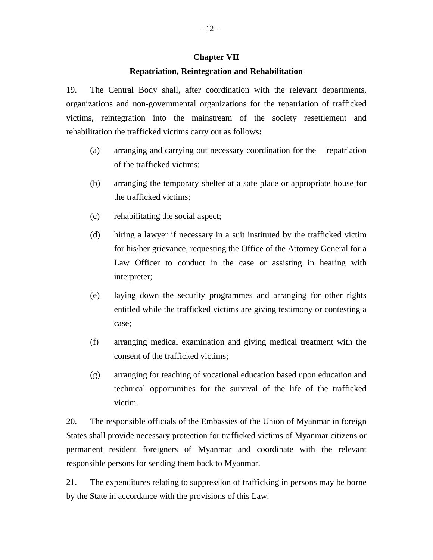### **Chapter VII**

### **Repatriation, Reintegration and Rehabilitation**

19. The Central Body shall, after coordination with the relevant departments, organizations and non-governmental organizations for the repatriation of trafficked victims, reintegration into the mainstream of the society resettlement and rehabilitation the trafficked victims carry out as follows**:** 

- (a) arranging and carrying out necessary coordination for the repatriation of the trafficked victims;
- (b) arranging the temporary shelter at a safe place or appropriate house for the trafficked victims;
- (c) rehabilitating the social aspect;
- (d) hiring a lawyer if necessary in a suit instituted by the trafficked victim for his/her grievance, requesting the Office of the Attorney General for a Law Officer to conduct in the case or assisting in hearing with interpreter;
- (e) laying down the security programmes and arranging for other rights entitled while the trafficked victims are giving testimony or contesting a case;
- (f) arranging medical examination and giving medical treatment with the consent of the trafficked victims;
- (g) arranging for teaching of vocational education based upon education and technical opportunities for the survival of the life of the trafficked victim.

20. The responsible officials of the Embassies of the Union of Myanmar in foreign States shall provide necessary protection for trafficked victims of Myanmar citizens or permanent resident foreigners of Myanmar and coordinate with the relevant responsible persons for sending them back to Myanmar.

21. The expenditures relating to suppression of trafficking in persons may be borne by the State in accordance with the provisions of this Law.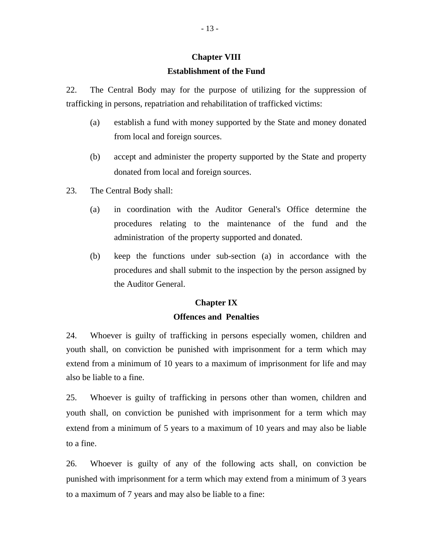# **Chapter VIII Establishment of the Fund**

22. The Central Body may for the purpose of utilizing for the suppression of trafficking in persons, repatriation and rehabilitation of trafficked victims:

- (a) establish a fund with money supported by the State and money donated from local and foreign sources.
- (b) accept and administer the property supported by the State and property donated from local and foreign sources.
- 23. The Central Body shall:
	- (a) in coordination with the Auditor General's Office determine the procedures relating to the maintenance of the fund and the administration of the property supported and donated.
	- (b) keep the functions under sub-section (a) in accordance with the procedures and shall submit to the inspection by the person assigned by the Auditor General.

### **Chapter IX**

## **Offences and Penalties**

24. Whoever is guilty of trafficking in persons especially women, children and youth shall, on conviction be punished with imprisonment for a term which may extend from a minimum of 10 years to a maximum of imprisonment for life and may also be liable to a fine.

25. Whoever is guilty of trafficking in persons other than women, children and youth shall, on conviction be punished with imprisonment for a term which may extend from a minimum of 5 years to a maximum of 10 years and may also be liable to a fine.

26. Whoever is guilty of any of the following acts shall, on conviction be punished with imprisonment for a term which may extend from a minimum of 3 years to a maximum of 7 years and may also be liable to a fine: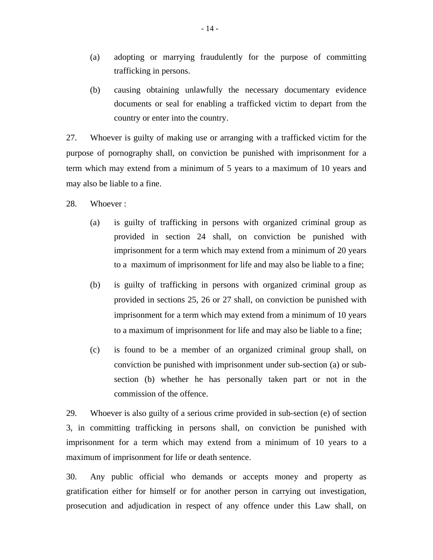- (a) adopting or marrying fraudulently for the purpose of committing trafficking in persons.
- (b) causing obtaining unlawfully the necessary documentary evidence documents or seal for enabling a trafficked victim to depart from the country or enter into the country.

27. Whoever is guilty of making use or arranging with a trafficked victim for the purpose of pornography shall, on conviction be punished with imprisonment for a term which may extend from a minimum of 5 years to a maximum of 10 years and may also be liable to a fine.

### 28. Whoever :

- (a) is guilty of trafficking in persons with organized criminal group as provided in section 24 shall, on conviction be punished with imprisonment for a term which may extend from a minimum of 20 years to a maximum of imprisonment for life and may also be liable to a fine;
- (b) is guilty of trafficking in persons with organized criminal group as provided in sections 25, 26 or 27 shall, on conviction be punished with imprisonment for a term which may extend from a minimum of 10 years to a maximum of imprisonment for life and may also be liable to a fine;
- (c) is found to be a member of an organized criminal group shall, on conviction be punished with imprisonment under sub-section (a) or subsection (b) whether he has personally taken part or not in the commission of the offence.

29. Whoever is also guilty of a serious crime provided in sub-section (e) of section 3, in committing trafficking in persons shall, on conviction be punished with imprisonment for a term which may extend from a minimum of 10 years to a maximum of imprisonment for life or death sentence.

30. Any public official who demands or accepts money and property as gratification either for himself or for another person in carrying out investigation, prosecution and adjudication in respect of any offence under this Law shall, on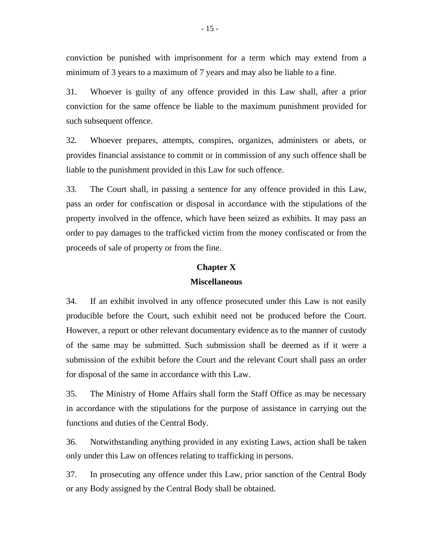conviction be punished with imprisonment for a term which may extend from a minimum of 3 years to a maximum of 7 years and may also be liable to a fine.

31. Whoever is guilty of any offence provided in this Law shall, after a prior conviction for the same offence be liable to the maximum punishment provided for such subsequent offence.

32. Whoever prepares, attempts, conspires, organizes, administers or abets, or provides financial assistance to commit or in commission of any such offence shall be liable to the punishment provided in this Law for such offence.

33. The Court shall, in passing a sentence for any offence provided in this Law, pass an order for confiscation or disposal in accordance with the stipulations of the property involved in the offence, which have been seized as exhibits. It may pass an order to pay damages to the trafficked victim from the money confiscated or from the proceeds of sale of property or from the fine.

#### **Chapter X**

### **Miscellaneous**

34. If an exhibit involved in any offence prosecuted under this Law is not easily producible before the Court, such exhibit need not be produced before the Court. However, a report or other relevant documentary evidence as to the manner of custody of the same may be submitted. Such submission shall be deemed as if it were a submission of the exhibit before the Court and the relevant Court shall pass an order for disposal of the same in accordance with this Law.

35. The Ministry of Home Affairs shall form the Staff Office as may be necessary in accordance with the stipulations for the purpose of assistance in carrying out the functions and duties of the Central Body.

36. Notwithstanding anything provided in any existing Laws, action shall be taken only under this Law on offences relating to trafficking in persons.

37. In prosecuting any offence under this Law, prior sanction of the Central Body or any Body assigned by the Central Body shall be obtained.